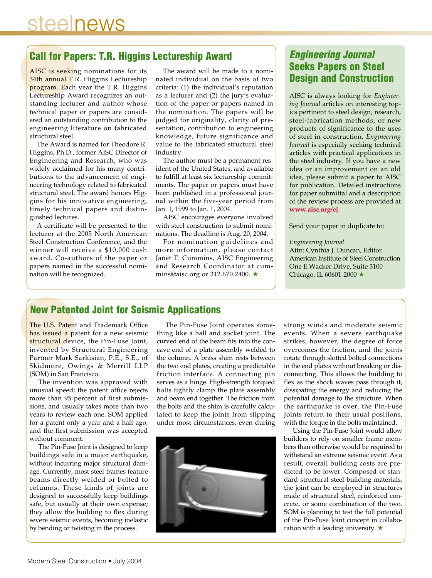## steelnews

## **Call for Papers: T.R. Higgins Lectureship Award**

AISC is seeking nominations for its 34th annual T.R. Higgins Lectureship program. Each year the T.R. Higgins Lectureship Award recognizes an outstanding lecturer and author whose technical paper or papers are considered an outstanding contribution to the engineering literature on fabricated structural steel.

The Award is named for Theodore R. Higgins, Ph.D., former AISC Director of Engineering and Research, who was widely acclaimed for his many contributions to the advancement of engineering technology related to fabricated structural steel. The award honors Higgins for his innovative engineering, timely technical papers and distinguished lectures.

A certificate will be presented to the lecturer at the 2005 North American Steel Construction Conference, and the winner will receive a \$10,000 cash award. Co-authors of the paper or papers named in the successful nomination will be recognized.

The award will be made to a nominated individual on the basis of two criteria: (1) the individual's reputation as a lecturer and (2) the jury's evaluation of the paper or papers named in the nomination. The papers will be judged for originality, clarity of presentation, contribution to engineering knowledge, future significance and value to the fabricated structural steel industry.

The author must be a permanent resident of the United States, and available to fulfill at least six lectureship commitments. The paper or papers must have been published in a professional journal within the five-year period from Jan. 1, 1999 to Jan. 1, 2004.

AISC encourages everyone involved with steel construction to submit nominations. The deadline is Aug. 20, 2004.

For nomination guidelines and more information, please contact Janet T. Cummins, AISC Engineering and Research Coordinator at cummins@aisc.org or 312.670.2400. ★

## **Engineering Journal Seeks Papers on Steel Design and Construction**

AISC is always looking for *Engineering Journal* articles on interesting topics pertinent to steel design, research, steel-fabrication methods, or new products of significance to the uses of steel in construction. *Engineering Journal* is especially seeking technical articles with practical applications in the steel industry. If you have a new idea or an improvement on an old idea, please submit a paper to AISC for publication. Detailed instructions for paper submittal and a description of the review process are provided at **www.aisc.org/ej**.

Send your paper in duplicate to:

#### *Engineering Journal*

Attn: Cynthia J. Duncan, Editor American Institute of Steel Construction One E.Wacker Drive, Suite 3100 Chicago, IL 60601-2000 ★

## **New Patented Joint for Seismic Applications**

The U.S. Patent and Trademark Office has issued a patent for a new seismic structural device, the Pin-Fuse Joint, invented by Structural Engineering Partner Mark Sarkisian, P.E., S.E., of Skidmore, Owings & Merrill LLP (SOM) in San Francisco.

The invention was approved with unusual speed; the patent office rejects more than 95 percent of first submissions, and usually takes more than two years to review each one. SOM applied for a patent only a year and a half ago, and the first submission was accepted without comment.

The Pin-Fuse Joint is designed to keep buildings safe in a major earthquake, without incurring major structural damage. Currently, most steel frames feature beams directly welded or bolted to columns. These kinds of joints are designed to successfully keep buildings safe, but usually at their own expense; they allow the building to flex during severe seismic events, becoming inelastic by bending or twisting in the process.

The Pin-Fuse Joint operates something like a ball and socket joint. The curved end of the beam fits into the concave end of a plate assembly welded to the column. A brass shim rests between the two end plates, creating a predictable friction interface. A connecting pin serves as a hinge. High-strength torqued bolts tightly clamp the plate assembly and beam end together. The friction from the bolts and the shim is carefully calculated to keep the joints from slipping under most circumstances, even during



strong winds and moderate seismic events. When a severe earthquake strikes, however, the degree of force overcomes the friction, and the joints rotate through slotted bolted connections in the end plates without breaking or disconnecting. This allows the building to flex as the shock waves pass through it, dissipating the energy and reducing the potential damage to the structure. When the earthquake is over, the Pin-Fuse Joints return to their usual positions, with the torque in the bolts maintained.

Using the Pin-Fuse Joint would allow builders to rely on smaller frame members than otherwise would be required to withstand an extreme seismic event. As a result, overall building costs are predicted to be lower. Composed of standard structural steel building materials, the joint can be employed in structures made of structural steel, reinforced concrete, or some combination of the two. SOM is planning to test the full potential of the Pin-Fuse Joint concept in collaboration with a leading university. ★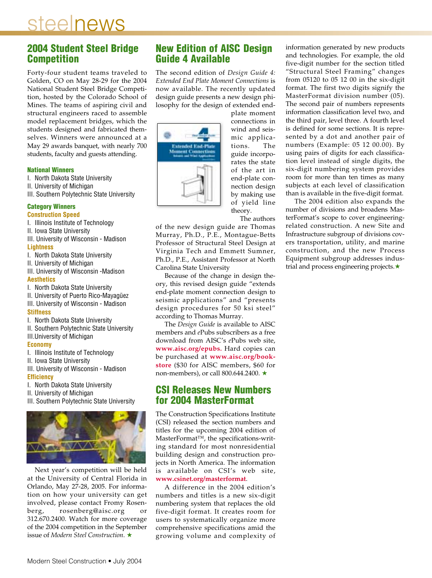## steelnews

### **2004 Student Steel Bridge Competition**

Forty-four student teams traveled to Golden, CO on May 28-29 for the 2004 National Student Steel Bridge Competition, hosted by the Colorado School of Mines. The teams of aspiring civil and structural engineers raced to assemble model replacement bridges, which the students designed and fabricated themselves. Winners were announced at a May 29 awards banquet, with nearly 700 students, faculty and guests attending.

#### **National Winners**

- I. North Dakota State University
- II. University of Michigan
- III. Southern Polytechnic State University

## **Category Winners**

- **Construction Speed**
- I. Illinois Institute of Technology
- II. Iowa State University
- III. University of Wisconsin Madison **Lightness**
- I. North Dakota State University
- II. University of Michigan
- III. University of Wisconsin -Madison **Aesthetics**
- I. North Dakota State University
- II. University of Puerto Rico-Mayagüez III. University of Wisconsin - Madison **Stiffness**
- I. North Dakota State University
- II. Southern Polytechnic State University
- III.University of Michigan

#### **Economy**

- I. Illinois Institute of Technology
- II. Iowa State University
- III. University of Wisconsin Madison **Efficiency**
- I. North Dakota State University
- II. University of Michigan
- III. Southern Polytechnic State University



Next year's competition will be held at the University of Central Florida in Orlando, May 27-28, 2005. For information on how your university can get involved, please contact Fromy Rosenberg, rosenberg@aisc.org or 312.670.2400. Watch for more coverage of the 2004 competition in the September issue of *Modern Steel Construction*. ★

## **New Edition of AISC Design Guide 4 Available**

The second edition of *Design Guide 4: Extended End Plate Moment Connections* is now available. The recently updated design guide presents a new design philosophy for the design of extended end-



plate moment connections in wind and seismic applications. The guide incorporates the state of the art in end-plate connection design by making use of yield line theory.

The authors

of the new design guide are Thomas Murray, Ph.D., P.E., Montague-Betts Professor of Structural Steel Design at Virginia Tech and Emmett Sumner, Ph.D., P.E., Assistant Professor at North Carolina State University

Because of the change in design theory, this revised design guide "extends end-plate moment connection design to seismic applications" and "presents design procedures for 50 ksi steel" according to Thomas Murray.

The *Design Guide* is available to AISC members and *e*Pubs subscribers as a free download from AISC's *e*Pubs web site, **www.aisc.org/epubs.** Hard copies can be purchased at **www.aisc.org/bookstore** (\$30 for AISC members, \$60 for non-members), or call 800.644.2400. ★

## **CSI Releases New Numbers for 2004 MasterFormat**

The Construction Specifications Institute (CSI) released the section numbers and titles for the upcoming 2004 edition of MasterFormat™, the specifications-writing standard for most nonresidential building design and construction projects in North America. The information is available on CSI's web site, **www.csinet.org/masterformat**.

A difference in the 2004 edition's numbers and titles is a new six-digit numbering system that replaces the old five-digit format. It creates room for users to systematically organize more comprehensive specifications amid the growing volume and complexity of information generated by new products and technologies. For example, the old five-digit number for the section titled "Structural Steel Framing" changes from 05120 to 05 12 00 in the six-digit format. The first two digits signify the MasterFormat division number (05). The second pair of numbers represents information classification level two, and the third pair, level three. A fourth level is defined for some sections. It is represented by a dot and another pair of numbers (Example: 05 12 00.00). By using pairs of digits for each classification level instead of single digits, the six-digit numbering system provides room for more than ten times as many subjects at each level of classification than is available in the five-digit format.

The 2004 edition also expands the number of divisions and broadens MasterFormat's scope to cover engineeringrelated construction. A new Site and Infrastructure subgroup of divisions covers transportation, utility, and marine construction, and the new Process Equipment subgroup addresses industrial and process engineering projects.★